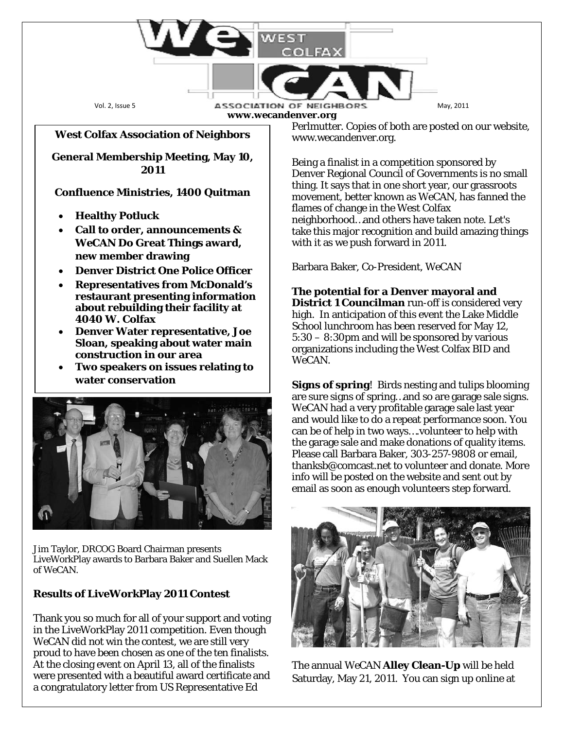

### **West Colfax Association of Neighbors**

**General Membership Meeting, May 10, 2011**

#### **Confluence Ministries, 1400 Quitman**

- **Healthy Potluck**
- **Call to order, announcements &**  *WeCAN* **Do Great Things award, new member drawing**
- **Denver District One Police Officer**
- **Representatives from McDonald's restaurant presenting information about rebuilding their facility at 4040 W. Colfax**
- **Denver Water representative, Joe Sloan, speaking about water main construction in our area**
- **Two speakers on issues relating to water conservation**



Jim Taylor, DRCOG Board Chairman presents LiveWorkPlay awards to Barbara Baker and Suellen Mack of *WeCAN*.

### **Results of LiveWorkPlay 2011 Contest**

Thank you so much for all of your support and voting in the LiveWorkPlay 2011 competition. Even though *WeCAN* did not win the contest, we are still very proud to have been chosen as one of the ten finalists. At the closing event on April 13, all of the finalists were presented with a beautiful award certificate and a congratulatory letter from US Representative Ed

Perlmutter. Copies of both are posted on our website, www.wecandenver.org.

Being a finalist in a competition sponsored by Denver Regional Council of Governments is no small thing. It says that in one short year, our grassroots movement, better known as WeCAN, has fanned the flames of change in the West Colfax neighborhood…and others have taken note. Let's take this major recognition and build amazing things with it as we push forward in 2011.

Barbara Baker, Co-President, WeCAN

**The potential for a Denver mayoral and District 1 Councilman** run-off is considered very high. In anticipation of this event the Lake Middle School lunchroom has been reserved for May 12, 5:30 – 8:30pm and will be sponsored by various organizations including the West Colfax BID and *WeCAN*.

**Signs of spring**! Birds nesting and tulips blooming are sure signs of spring…and so are garage sale signs. WeCAN had a very profitable garage sale last year and would like to do a repeat performance soon. You can be of help in two ways….volunteer to help with the garage sale and make donations of quality items. Please call Barbara Baker, 303-257-9808 or email, thanksb@comcast.net to volunteer and donate. More info will be posted on the website and sent out by email as soon as enough volunteers step forward.



The annual *WeCAN* **Alley Clean-Up** will be held Saturday, May 21, 2011. You can sign up online at